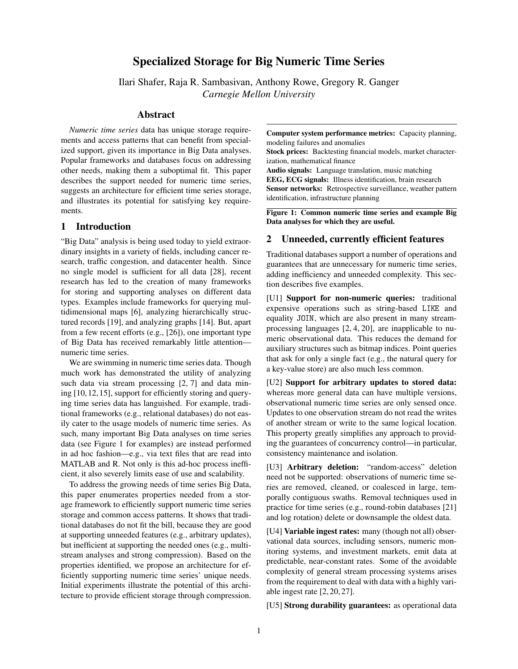# Specialized Storage for Big Numeric Time Series

Ilari Shafer, Raja R. Sambasivan, Anthony Rowe, Gregory R. Ganger *Carnegie Mellon University*

#### Abstract

*Numeric time series* data has unique storage requirements and access patterns that can benefit from specialized support, given its importance in Big Data analyses. Popular frameworks and databases focus on addressing other needs, making them a suboptimal fit. This paper describes the support needed for numeric time series, suggests an architecture for efficient time series storage, and illustrates its potential for satisfying key requirements.

## 1 Introduction

"Big Data" analysis is being used today to yield extraordinary insights in a variety of fields, including cancer research, traffic congestion, and datacenter health. Since no single model is sufficient for all data [\[28\]](#page-4-0), recent research has led to the creation of many frameworks for storing and supporting analyses on different data types. Examples include frameworks for querying multidimensional maps [\[6\]](#page-4-1), analyzing hierarchically structured records [\[19\]](#page-4-2), and analyzing graphs [\[14\]](#page-4-3). But, apart from a few recent efforts (e.g., [\[26\]](#page-4-4)), one important type of Big Data has received remarkably little attention numeric time series.

We are swimming in numeric time series data. Though much work has demonstrated the utility of analyzing such data via stream processing [\[2,](#page-4-5) [7\]](#page-4-6) and data mining [\[10,](#page-4-7)[12,](#page-4-8)[15\]](#page-4-9), support for efficiently storing and querying time series data has languished. For example, traditional frameworks (e.g., relational databases) do not easily cater to the usage models of numeric time series. As such, many important Big Data analyses on time series data (see Figure [1](#page-0-0) for examples) are instead performed in ad hoc fashion—e.g., via text files that are read into MATLAB and R. Not only is this ad-hoc process inefficient, it also severely limits ease of use and scalability.

To address the growing needs of time series Big Data, this paper enumerates properties needed from a storage framework to efficiently support numeric time series storage and common access patterns. It shows that traditional databases do not fit the bill, because they are good at supporting unneeded features (e.g., arbitrary updates), but inefficient at supporting the needed ones (e.g., multistream analyses and strong compression). Based on the properties identified, we propose an architecture for efficiently supporting numeric time series' unique needs. Initial experiments illustrate the potential of this architecture to provide efficient storage through compression. <span id="page-0-0"></span>Computer system performance metrics: Capacity planning, modeling failures and anomalies

Stock prices: Backtesting financial models, market characterization, mathematical finance

Audio signals: Language translation, music matching EEG, ECG signals: Illness identification, brain research Sensor networks: Retrospective surveillance, weather pattern identification, infrastructure planning

Figure 1: Common numeric time series and example Big Data analyses for which they are useful.

### 2 Unneeded, currently efficient features

Traditional databases support a number of operations and guarantees that are unnecessary for numeric time series, adding inefficiency and unneeded complexity. This section describes five examples.

[U1] Support for non-numeric queries: traditional expensive operations such as string-based LIKE and equality JOIN, which are also present in many streamprocessing languages [\[2,](#page-4-5) [4,](#page-4-10) [20\]](#page-4-11), are inapplicable to numeric observational data. This reduces the demand for auxiliary structures such as bitmap indices. Point queries that ask for only a single fact (e.g., the natural query for a key-value store) are also much less common.

[U2] Support for arbitrary updates to stored data: whereas more general data can have multiple versions, observational numeric time series are only sensed once. Updates to one observation stream do not read the writes of another stream or write to the same logical location. This property greatly simplifies any approach to providing the guarantees of concurrency control—in particular, consistency maintenance and isolation.

[U3] Arbitrary deletion: "random-access" deletion need not be supported: observations of numeric time series are removed, cleaned, or coalesced in large, temporally contiguous swaths. Removal techniques used in practice for time series (e.g., round-robin databases [\[21\]](#page-4-12) and log rotation) delete or downsample the oldest data.

[U4] Variable ingest rates: many (though not all) observational data sources, including sensors, numeric monitoring systems, and investment markets, emit data at predictable, near-constant rates. Some of the avoidable complexity of general stream processing systems arises from the requirement to deal with data with a highly variable ingest rate [\[2,](#page-4-5) [20,](#page-4-11) [27\]](#page-4-13).

[U5] **Strong durability guarantees:** as operational data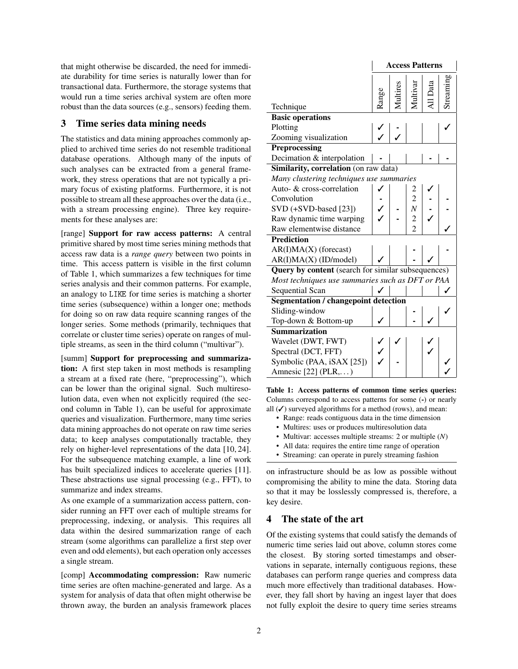that might otherwise be discarded, the need for immediate durability for time series is naturally lower than for transactional data. Furthermore, the storage systems that would run a time series archival system are often more robust than the data sources (e.g., sensors) feeding them.

### 3 Time series data mining needs

The statistics and data mining approaches commonly applied to archived time series do not resemble traditional database operations. Although many of the inputs of such analyses can be extracted from a general framework, they stress operations that are not typically a primary focus of existing platforms. Furthermore, it is not possible to stream all these approaches over the data (i.e., with a stream processing engine). Three key requirements for these analyses are:

[range] Support for raw access patterns: A central primitive shared by most time series mining methods that access raw data is a *range query* between two points in time. This access pattern is visible in the first column of Table [1,](#page-1-0) which summarizes a few techniques for time series analysis and their common patterns. For example, an analogy to LIKE for time series is matching a shorter time series (subsequence) within a longer one; methods for doing so on raw data require scanning ranges of the longer series. Some methods (primarily, techniques that correlate or cluster time series) operate on ranges of multiple streams, as seen in the third column ("multivar").

[summ] Support for preprocessing and summarization: A first step taken in most methods is resampling a stream at a fixed rate (here, "preprocessing"), which can be lower than the original signal. Such multiresolution data, even when not explicitly required (the second column in Table [1\)](#page-1-0), can be useful for approximate queries and visualization. Furthermore, many time series data mining approaches do not operate on raw time series data; to keep analyses computationally tractable, they rely on higher-level representations of the data [\[10,](#page-4-7) [24\]](#page-4-14). For the subsequence matching example, a line of work has built specialized indices to accelerate queries [\[11\]](#page-4-15). These abstractions use signal processing (e.g., FFT), to summarize and index streams.

As one example of a summarization access pattern, consider running an FFT over each of multiple streams for preprocessing, indexing, or analysis. This requires all data within the desired summarization range of each stream (some algorithms can parallelize a first step over even and odd elements), but each operation only accesses a single stream.

[comp] Accommodating compression: Raw numeric time series are often machine-generated and large. As a system for analysis of data that often might otherwise be thrown away, the burden an analysis framework places

<span id="page-1-0"></span>

|                                                    | <b>Access Patterns</b> |  |                 |  |          |  |  |  |  |  |
|----------------------------------------------------|------------------------|--|-----------------|--|----------|--|--|--|--|--|
| Technique                                          | lange                  |  |                 |  | treaming |  |  |  |  |  |
| <b>Basic operations</b>                            |                        |  |                 |  |          |  |  |  |  |  |
| Plotting                                           |                        |  |                 |  |          |  |  |  |  |  |
| Zooming visualization                              |                        |  |                 |  |          |  |  |  |  |  |
| Preprocessing                                      |                        |  |                 |  |          |  |  |  |  |  |
| Decimation & interpolation                         |                        |  |                 |  |          |  |  |  |  |  |
| Similarity, correlation (on raw data)              |                        |  |                 |  |          |  |  |  |  |  |
| Many clustering techniques use summaries           |                        |  |                 |  |          |  |  |  |  |  |
| Auto- & cross-correlation                          |                        |  |                 |  |          |  |  |  |  |  |
| Convolution                                        |                        |  |                 |  |          |  |  |  |  |  |
| SVD (+SVD-based [23])                              |                        |  | $N_{\parallel}$ |  |          |  |  |  |  |  |
| Raw dynamic time warping                           |                        |  | $\overline{c}$  |  |          |  |  |  |  |  |
| Raw elementwise distance                           |                        |  | $\overline{c}$  |  |          |  |  |  |  |  |
| <b>Prediction</b>                                  |                        |  |                 |  |          |  |  |  |  |  |
| $AR(I)MA(X)$ (forecast)                            |                        |  |                 |  |          |  |  |  |  |  |
| AR(I)MA(X) (ID/model)                              |                        |  |                 |  |          |  |  |  |  |  |
| Query by content (search for similar subsequences) |                        |  |                 |  |          |  |  |  |  |  |
| Most techniques use summaries such as DFT or PAA   |                        |  |                 |  |          |  |  |  |  |  |
| Sequential Scan                                    |                        |  |                 |  |          |  |  |  |  |  |
| <b>Segmentation / changepoint detection</b>        |                        |  |                 |  |          |  |  |  |  |  |
| Sliding-window                                     |                        |  |                 |  |          |  |  |  |  |  |
| Top-down & Bottom-up                               |                        |  |                 |  |          |  |  |  |  |  |
| <b>Summarization</b>                               |                        |  |                 |  |          |  |  |  |  |  |
| Wavelet (DWT, FWT)                                 |                        |  |                 |  |          |  |  |  |  |  |
| Spectral (DCT, FFT)                                |                        |  |                 |  |          |  |  |  |  |  |
| Symbolic (PAA, iSAX [25])                          |                        |  |                 |  |          |  |  |  |  |  |
| Amnesic $[22]$ (PLR,)                              |                        |  |                 |  |          |  |  |  |  |  |

Table 1: Access patterns of common time series queries: Columns correspond to access patterns for some (-) or nearly all  $(V)$  surveyed algorithms for a method (rows), and mean:

- Range: reads contiguous data in the time dimension
- Multires: uses or produces multiresolution data
- Multivar: accesses multiple streams: 2 or multiple (*N*)
- All data: requires the entire time range of operation
- Streaming: can operate in purely streaming fashion

on infrastructure should be as low as possible without compromising the ability to mine the data. Storing data so that it may be losslessly compressed is, therefore, a key desire.

## 4 The state of the art

Of the existing systems that could satisfy the demands of numeric time series laid out above, column stores come the closest. By storing sorted timestamps and observations in separate, internally contiguous regions, these databases can perform range queries and compress data much more effectively than traditional databases. However, they fall short by having an ingest layer that does not fully exploit the desire to query time series streams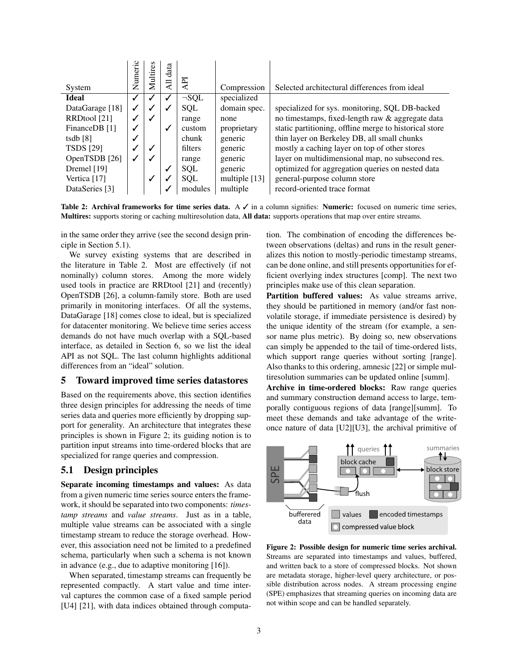<span id="page-2-1"></span>

| System           | Numeric      | Multires | data<br>딌 | API        | Compression   | Selected architectural differences from ideal          |
|------------------|--------------|----------|-----------|------------|---------------|--------------------------------------------------------|
| <b>Ideal</b>     | $\checkmark$ | √        | ✓         | $\neg SOL$ | specialized   |                                                        |
| DataGarage [18]  | $\checkmark$ | √        | ↵         | <b>SQL</b> | domain spec.  | specialized for sys. monitoring, SQL DB-backed         |
| RRDtool [21]     | ✓            | ✓        |           | range      | none          | no timestamps, fixed-length raw & aggregate data       |
| FinanceDB [1]    | ✓            |          | √         | custom     | proprietary   | static partitioning, offline merge to historical store |
| tsdb $[8]$       | ✓            |          |           | chunk      | generic       | thin layer on Berkeley DB, all small chunks            |
| <b>TSDS</b> [29] | $\checkmark$ |          |           | filters    | generic       | mostly a caching layer on top of other stores          |
| OpenTSDB [26]    | ✓            |          |           | range      | generic       | layer on multidimensional map, no subsecond res.       |
| Dremel [19]      |              |          | ✔         | <b>SQL</b> | generic       | optimized for aggregation queries on nested data       |
| Vertica [17]     |              | ✓        |           | <b>SOL</b> | multiple [13] | general-purpose column store                           |
| DataSeries [3]   |              |          |           | modules    | multiple      | record-oriented trace format                           |

Table 2: Archival frameworks for time series data. A  $\checkmark$  in a column signifies: Numeric: focused on numeric time series, Multires: supports storing or caching multiresolution data, All data: supports operations that map over entire streams.

in the same order they arrive (see the second design principle in Section [5.1\)](#page-2-0).

We survey existing systems that are described in the literature in Table [2.](#page-2-1) Most are effectively (if not nominally) column stores. Among the more widely used tools in practice are RRDtool [\[21\]](#page-4-12) and (recently) OpenTSDB [\[26\]](#page-4-4), a column-family store. Both are used primarily in monitoring interfaces. Of all the systems, DataGarage [\[18\]](#page-4-19) comes close to ideal, but is specialized for datacenter monitoring. We believe time series access demands do not have much overlap with a SQL-based interface, as detailed in Section [6,](#page-3-0) so we list the ideal API as not SQL. The last column highlights additional differences from an "ideal" solution.

## 5 Toward improved time series datastores

Based on the requirements above, this section identifies three design principles for addressing the needs of time series data and queries more efficiently by dropping support for generality. An architecture that integrates these principles is shown in Figure [2;](#page-2-2) its guiding notion is to partition input streams into time-ordered blocks that are specialized for range queries and compression.

#### <span id="page-2-0"></span>5.1 Design principles

Separate incoming timestamps and values: As data from a given numeric time series source enters the framework, it should be separated into two components: *timestamp streams* and *value streams*. Just as in a table, multiple value streams can be associated with a single timestamp stream to reduce the storage overhead. However, this association need not be limited to a predefined schema, particularly when such a schema is not known in advance (e.g., due to adaptive monitoring [\[16\]](#page-4-26)).

When separated, timestamp streams can frequently be represented compactly. A start value and time interval captures the common case of a fixed sample period [U4] [\[21\]](#page-4-12), with data indices obtained through computation. The combination of encoding the differences between observations (deltas) and runs in the result generalizes this notion to mostly-periodic timestamp streams, can be done online, and still presents opportunities for efficient overlying index structures [comp]. The next two principles make use of this clean separation.

Partition buffered values: As value streams arrive, they should be partitioned in memory (and/or fast nonvolatile storage, if immediate persistence is desired) by the unique identity of the stream (for example, a sensor name plus metric). By doing so, new observations can simply be appended to the tail of time-ordered lists, which support range queries without sorting [range]. Also thanks to this ordering, amnesic [\[22\]](#page-4-18) or simple multiresolution summaries can be updated online [summ].

Archive in time-ordered blocks: Raw range queries and summary construction demand access to large, temporally contiguous regions of data [range][summ]. To meet these demands and take advantage of the writeonce nature of data [U2][U3], the archival primitive of

<span id="page-2-2"></span>

Figure 2: Possible design for numeric time series archival. Streams are separated into timestamps and values, buffered, and written back to a store of compressed blocks. Not shown are metadata storage, higher-level query architecture, or possible distribution across nodes. A stream processing engine (SPE) emphasizes that streaming queries on incoming data are not within scope and can be handled separately.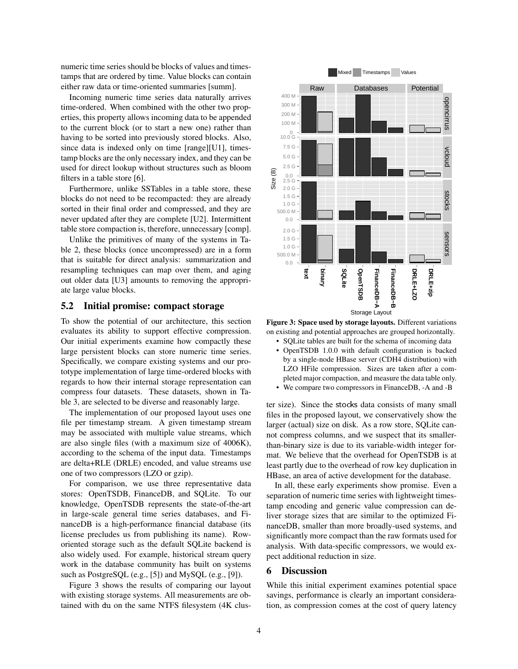numeric time series should be blocks of values and timestamps that are ordered by time. Value blocks can contain either raw data or time-oriented summaries [summ].

Incoming numeric time series data naturally arrives time-ordered. When combined with the other two properties, this property allows incoming data to be appended to the current block (or to start a new one) rather than having to be sorted into previously stored blocks. Also, since data is indexed only on time [range][U1], timestamp blocks are the only necessary index, and they can be used for direct lookup without structures such as bloom filters in a table store [\[6\]](#page-4-1).

Furthermore, unlike SSTables in a table store, these blocks do not need to be recompacted: they are already sorted in their final order and compressed, and they are never updated after they are complete [U2]. Intermittent table store compaction is, therefore, unnecessary [comp].

Unlike the primitives of many of the systems in Table [2,](#page-2-1) these blocks (once uncompressed) are in a form that is suitable for direct analysis: summarization and resampling techniques can map over them, and aging out older data [U3] amounts to removing the appropriate large value blocks.

#### 5.2 Initial promise: compact storage

To show the potential of our architecture, this section evaluates its ability to support effective compression. Our initial experiments examine how compactly these large persistent blocks can store numeric time series. Specifically, we compare existing systems and our prototype implementation of large time-ordered blocks with regards to how their internal storage representation can compress four datasets. These datasets, shown in Table [3,](#page-4-27) are selected to be diverse and reasonably large.

The implementation of our proposed layout uses one file per timestamp stream. A given timestamp stream may be associated with multiple value streams, which are also single files (with a maximum size of 4006K), according to the schema of the input data. Timestamps are delta+RLE (DRLE) encoded, and value streams use one of two compressors (LZO or gzip).

For comparison, we use three representative data stores: OpenTSDB, FinanceDB, and SQLite. To our knowledge, OpenTSDB represents the state-of-the-art in large-scale general time series databases, and FinanceDB is a high-performance financial database (its license precludes us from publishing its name). Roworiented storage such as the default SQLite backend is also widely used. For example, historical stream query work in the database community has built on systems such as PostgreSQL (e.g., [\[5\]](#page-4-28)) and MySQL (e.g., [\[9\]](#page-4-29)).

Figure [3](#page-3-1) shows the results of comparing our layout with existing storage systems. All measurements are obtained with du on the same NTFS filesystem (4K clus-

<span id="page-3-1"></span>

Figure 3: Space used by storage layouts. Different variations on existing and potential approaches are grouped horizontally.

- SQLite tables are built for the schema of incoming data
- OpenTSDB 1.0.0 with default configuration is backed by a single-node HBase server (CDH4 distribution) with LZO HFile compression. Sizes are taken after a completed major compaction, and measure the data table only.
- We compare two compressors in FinanceDB, -A and -B

ter size). Since the stocks data consists of many small files in the proposed layout, we conservatively show the larger (actual) size on disk. As a row store, SQLite cannot compress columns, and we suspect that its smallerthan-binary size is due to its variable-width integer format. We believe that the overhead for OpenTSDB is at least partly due to the overhead of row key duplication in HBase, an area of active development for the database.

In all, these early experiments show promise. Even a separation of numeric time series with lightweight timestamp encoding and generic value compression can deliver storage sizes that are similar to the optimized FinanceDB, smaller than more broadly-used systems, and significantly more compact than the raw formats used for analysis. With data-specific compressors, we would expect additional reduction in size.

#### <span id="page-3-0"></span>6 Discussion

While this initial experiment examines potential space savings, performance is clearly an important consideration, as compression comes at the cost of query latency